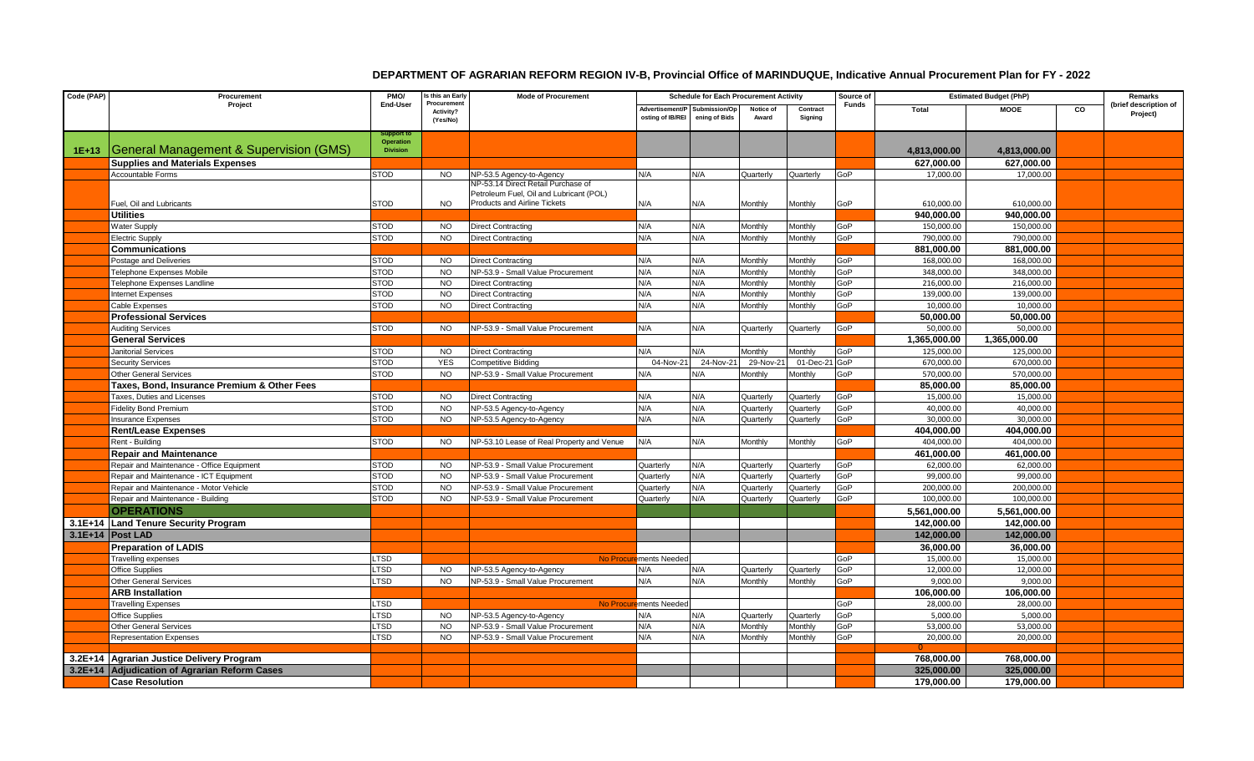## **DEPARTMENT OF AGRARIAN REFORM REGION IV-B, Provincial Office of MARINDUQUE, Indicative Annual Procurement Plan for FY - 2022**

| Code (PAP) | Procurement<br>Project                        | PMO/<br>End-User               | Is this an Early                    | <b>Mode of Procurement</b>                | <b>Schedule for Each Procurement Activity</b> |                                |                    |                     | Source of | <b>Estimated Budget (PhP)</b> |              |                | Remarks                           |
|------------|-----------------------------------------------|--------------------------------|-------------------------------------|-------------------------------------------|-----------------------------------------------|--------------------------------|--------------------|---------------------|-----------|-------------------------------|--------------|----------------|-----------------------------------|
|            |                                               |                                | Procuremen<br>Activity?<br>(Yes/No) |                                           | Advertisement/P<br>osting of IB/REI           | Submission/Op<br>ening of Bids | Notice of<br>Award | Contract<br>Sianina | Funds     | Total                         | <b>MOOE</b>  | $\overline{c}$ | (brief description of<br>Project) |
|            |                                               | Support to<br><b>Operation</b> |                                     |                                           |                                               |                                |                    |                     |           |                               |              |                |                                   |
| $1E+13$    | General Management & Supervision (GMS)        | <b>Division</b>                |                                     |                                           |                                               |                                |                    |                     |           | 4,813,000.00                  | 4,813,000.00 |                |                                   |
|            | <b>Supplies and Materials Expenses</b>        |                                |                                     |                                           |                                               |                                |                    |                     |           | 627,000.00                    | 627,000.00   |                |                                   |
|            | <b>Accountable Forms</b>                      | <b>STOD</b>                    | <b>NO</b>                           | NP-53.5 Agency-to-Agency                  | N/A                                           | N/A                            | Quarterly          | Quarterly           | GoP       | 17,000.00                     | 17,000.00    |                |                                   |
|            |                                               |                                |                                     | NP-53.14 Direct Retail Purchase of        |                                               |                                |                    |                     |           |                               |              |                |                                   |
|            |                                               |                                |                                     | Petroleum Fuel, Oil and Lubricant (POL)   |                                               |                                |                    |                     |           |                               |              |                |                                   |
|            | Fuel, Oil and Lubricants                      | <b>STOD</b>                    | <b>NO</b>                           | <b>Products and Airline Tickets</b>       | N/A                                           | N/A                            | Monthly            | Monthly             | GoP       | 610,000.00                    | 610,000.00   |                |                                   |
|            | <b>Utilities</b>                              |                                |                                     |                                           |                                               |                                |                    |                     |           | 940,000.00                    | 940,000.00   |                |                                   |
|            | <b>Water Supply</b>                           | <b>STOD</b>                    | <b>NO</b>                           | <b>Direct Contracting</b>                 | N/A                                           | N/A                            | Monthly            | Monthly             | GoP       | 150,000.00                    | 150,000.00   |                |                                   |
|            | <b>Electric Supply</b>                        | <b>STOD</b>                    | <b>NO</b>                           | <b>Direct Contracting</b>                 | N/A                                           | N/A                            | Monthly            | Monthly             | GoP       | 790,000.00                    | 790,000.00   |                |                                   |
|            | <b>Communications</b>                         |                                |                                     |                                           |                                               |                                |                    |                     |           | 881,000.00                    | 881,000.00   |                |                                   |
|            | Postage and Deliveries                        | <b>STOD</b>                    | <b>NO</b>                           | <b>Direct Contracting</b>                 | N/A                                           | N/A                            | Monthly            | Monthly             | GoP       | 168,000.00                    | 168,000.00   |                |                                   |
|            | Telephone Expenses Mobile                     | <b>STOD</b>                    | <b>NO</b>                           | NP-53.9 - Small Value Procurement         | N/A                                           | N/A                            | Monthly            | Monthly             | GoP       | 348,000.00                    | 348,000.00   |                |                                   |
|            | Telephone Expenses Landline                   | <b>STOD</b>                    | <b>NO</b>                           | <b>Direct Contracting</b>                 | N/A                                           | N/A                            | Monthly            | Monthly             | GoP       | 216,000.00                    | 216,000.00   |                |                                   |
|            | <b>Internet Expenses</b>                      | <b>STOD</b>                    | <b>NO</b>                           | <b>Direct Contracting</b>                 | N/A                                           | N/A                            | Monthly            | Monthly             | GoP       | 139,000.00                    | 139,000.00   |                |                                   |
|            | Cable Expenses                                | <b>STOD</b>                    | <b>NO</b>                           | <b>Direct Contracting</b>                 | N/A                                           | N/A                            | Monthly            | Monthly             | GoP       | 10,000.00                     | 10,000.00    |                |                                   |
|            | <b>Professional Services</b>                  |                                |                                     |                                           |                                               |                                |                    |                     |           | 50,000.00                     | 50,000.00    |                |                                   |
|            | <b>Auditing Services</b>                      | <b>STOD</b>                    | <b>NO</b>                           | NP-53.9 - Small Value Procurement         | N/A                                           | N/A                            | Quarterly          | Quarterly           | GoP       | 50,000.00                     | 50,000.00    |                |                                   |
|            | <b>General Services</b>                       |                                |                                     |                                           |                                               |                                |                    |                     |           | 1,365,000.00                  | 1,365,000.00 |                |                                   |
|            | <b>Janitorial Services</b>                    | <b>STOD</b>                    | <b>NO</b>                           | <b>Direct Contracting</b>                 | N/A                                           | N/A                            | Monthly            | Monthly             | GoP       | 125,000.00                    | 125,000.00   |                |                                   |
|            | <b>Security Services</b>                      | <b>STOD</b>                    | <b>YES</b>                          | <b>Competitive Bidding</b>                | 04-Nov-21                                     | 24-Nov-21                      | 29-Nov-21          | 01-Dec-21           | GoP       | 670,000.00                    | 670,000.00   |                |                                   |
|            | <b>Other General Services</b>                 | <b>STOD</b>                    | <b>NO</b>                           | NP-53.9 - Small Value Procurement         | N/A                                           | N/A                            | Monthly            | Monthly             | GoP       | 570,000.00                    | 570,000.00   |                |                                   |
|            | Taxes, Bond, Insurance Premium & Other Fees   |                                |                                     |                                           |                                               |                                |                    |                     |           | 85,000.00                     | 85,000.00    |                |                                   |
|            | Taxes, Duties and Licenses                    | STOD                           | <b>NO</b>                           | <b>Direct Contracting</b>                 | N/A                                           | N/A                            | Quarterly          | Quarterly           | GoP       | 15,000.00                     | 15,000.00    |                |                                   |
|            | <b>Fidelity Bond Premium</b>                  | <b>STOD</b>                    | <b>NO</b>                           | NP-53.5 Agency-to-Agency                  | N/A                                           | N/A                            | Quarterly          | Quarterly           | GoP       | 40.000.00                     | 40,000.00    |                |                                   |
|            | <b>Insurance Expenses</b>                     | <b>STOD</b>                    | <b>NO</b>                           | NP-53.5 Agency-to-Agency                  | N/A                                           | N/A                            | Quarterly          | Quarterly           | GoP       | 30,000.00                     | 30,000.00    |                |                                   |
|            | <b>Rent/Lease Expenses</b>                    |                                |                                     |                                           |                                               |                                |                    |                     |           | 404,000.00                    | 404.000.00   |                |                                   |
|            | Rent - Building                               | <b>STOD</b>                    | <b>NO</b>                           | NP-53.10 Lease of Real Property and Venue | N/A                                           | N/A                            | Monthly            | Monthly             | GoP       | 404,000.00                    | 404,000.00   |                |                                   |
|            | <b>Repair and Maintenance</b>                 |                                |                                     |                                           |                                               |                                |                    |                     |           | 461,000.00                    | 461,000.00   |                |                                   |
|            | Repair and Maintenance - Office Equipment     | <b>STOD</b>                    | <b>NO</b>                           | NP-53.9 - Small Value Procurement         | Quarterly                                     | N/A                            | Quarterly          | Quarterly           | GoP       | 62,000.00                     | 62,000.00    |                |                                   |
|            | Repair and Maintenance - ICT Equipment        | <b>STOD</b>                    | <b>NO</b>                           | NP-53.9 - Small Value Procurement         | Quarterly                                     | N/A                            | Quarterly          | Quarterly           | GoP       | 99,000.00                     | 99,000.00    |                |                                   |
|            | Repair and Maintenance - Motor Vehicle        | <b>STOD</b>                    | <b>NO</b>                           | NP-53.9 - Small Value Procurement         | Quarterly                                     | N/A                            | Quarterly          | Quarterly           | GoP       | 200,000.00                    | 200,000.00   |                |                                   |
|            | Repair and Maintenance - Building             | <b>STOD</b>                    | <b>NO</b>                           | NP-53.9 - Small Value Procurement         | Quarterly                                     | N/A                            | Quarterly          | Quarterly           | GoP       | 100,000.00                    | 100,000.00   |                |                                   |
|            | <b>OPERATIONS</b>                             |                                |                                     |                                           |                                               |                                |                    |                     |           | 5,561,000.00                  | 5,561,000.00 |                |                                   |
|            | 3.1E+14 Land Tenure Security Program          |                                |                                     |                                           |                                               |                                |                    |                     |           | 142.000.00                    | 142,000.00   |                |                                   |
|            | 3.1E+14   Post LAD                            |                                |                                     |                                           |                                               |                                |                    |                     |           | 142.000.00                    | 142,000.00   |                |                                   |
|            | <b>Preparation of LADIS</b>                   |                                |                                     |                                           |                                               |                                |                    |                     |           | 36,000.00                     | 36,000.00    |                |                                   |
|            | Travelling expenses                           | <b>LTSD</b>                    |                                     |                                           | No Procurements Needed                        |                                |                    |                     | GoP       | 15,000.00                     | 15,000.00    |                |                                   |
|            | <b>Office Supplies</b>                        | <b>LTSD</b>                    | <b>NO</b>                           | NP-53.5 Agency-to-Agency                  | N/A                                           | N/A                            | Quarterly          | Quarterly           | GoP       | 12,000.00                     | 12,000.00    |                |                                   |
|            | <b>Other General Services</b>                 | LTSD                           | <b>NO</b>                           | NP-53.9 - Small Value Procurement         | N/A                                           | N/A                            | Monthly            | Monthly             | GoP       | 9,000.00                      | 9,000.00     |                |                                   |
|            | <b>ARB Installation</b>                       |                                |                                     |                                           |                                               |                                |                    |                     |           | 106,000.00                    | 106,000.00   |                |                                   |
|            | <b>Travelling Expenses</b>                    | <b>LTSD</b>                    |                                     |                                           | No Procurements Needed                        |                                |                    |                     | GoP       | 28,000.00                     | 28,000.00    |                |                                   |
|            | <b>Office Supplies</b>                        | LTSD                           | <b>NO</b>                           | NP-53.5 Agency-to-Agency                  | N/A                                           | N/A                            | Quarterly          | Quarterly           | GoP       | 5,000.00                      | 5,000.00     |                |                                   |
|            | <b>Other General Services</b>                 | <b>LTSD</b>                    | <b>NO</b>                           | NP-53.9 - Small Value Procurement         | N/A                                           | N/A                            | Monthly            | Monthly             | GoP       | 53,000.00                     | 53,000.00    |                |                                   |
|            | <b>Representation Expenses</b>                | LTSD                           | <b>NO</b>                           | NP-53.9 - Small Value Procurement         | N/A                                           | N/A                            | Monthly            | Monthly             | GoP       | 20,000.00                     | 20,000.00    |                |                                   |
|            |                                               |                                |                                     |                                           |                                               |                                |                    |                     |           |                               |              |                |                                   |
|            | 3.2E+14 Agrarian Justice Delivery Program     |                                |                                     |                                           |                                               |                                |                    |                     |           | 768,000.00                    | 768,000.00   |                |                                   |
|            | 3.2E+14 Adjudication of Agrarian Reform Cases |                                |                                     |                                           |                                               |                                |                    |                     |           | 325,000.00                    | 325,000.00   |                |                                   |
|            | <b>Case Resolution</b>                        |                                |                                     |                                           |                                               |                                |                    |                     |           | 179,000.00                    | 179,000.00   |                |                                   |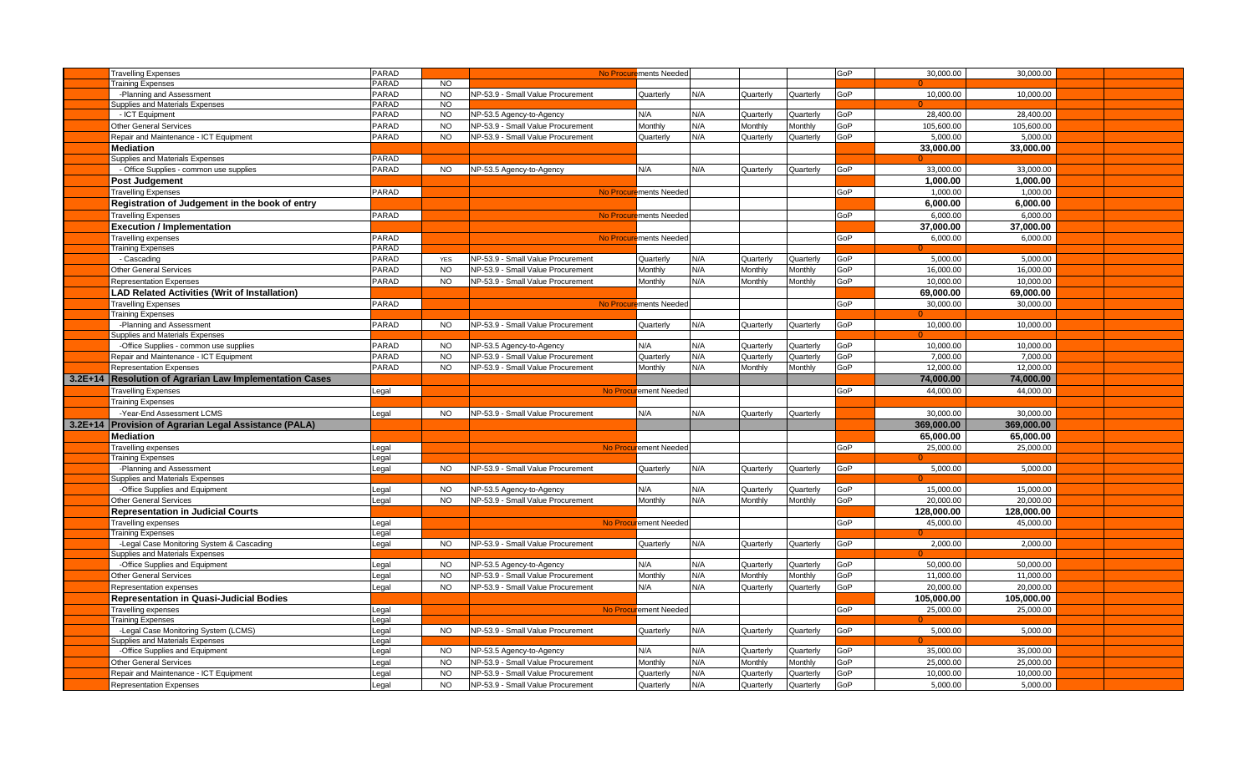| <b>Travelling Expenses</b>                                                | PARAD          |                |                                   | No Procurements Needed |     |           |           | GoP | 30,000.00  | 30,000.00  |  |
|---------------------------------------------------------------------------|----------------|----------------|-----------------------------------|------------------------|-----|-----------|-----------|-----|------------|------------|--|
| <b>Training Expenses</b>                                                  | PARAD          | <b>NO</b>      |                                   |                        |     |           |           |     |            |            |  |
| -Planning and Assessment                                                  | PARAD          | <b>NO</b>      | NP-53.9 - Small Value Procurement | Quarterly              | N/A | Quarterly | Quarterly | GoP | 10,000.00  | 10,000.00  |  |
| <b>Supplies and Materials Expenses</b>                                    | PARAD          | N <sub>O</sub> |                                   |                        |     |           |           |     |            |            |  |
| - ICT Equipment                                                           | PARAD          | <b>NO</b>      | NP-53.5 Agency-to-Agency          | N/A                    | N/A | Quarterly | Quarterly | GoP | 28,400.00  | 28,400.00  |  |
| Other General Services                                                    | PARAD          | <b>NO</b>      | NP-53.9 - Small Value Procurement | Monthly                | N/A | Monthly   | Monthly   | GoP | 105,600.00 | 105,600.00 |  |
| Repair and Maintenance - ICT Equipment                                    | PARAD          | <b>NO</b>      | NP-53.9 - Small Value Procurement | Quarterly              | N/A | Quarterly | Quarterly | GoP | 5.000.00   | 5,000.00   |  |
| <b>Mediation</b>                                                          |                |                |                                   |                        |     |           |           |     | 33,000.00  | 33,000.00  |  |
| Supplies and Materials Expenses                                           | PARAD          |                |                                   |                        |     |           |           |     |            |            |  |
| - Office Supplies - common use supplies                                   | <b>PARAD</b>   | <b>NO</b>      | NP-53.5 Agency-to-Agency          | N/A                    | N/A | Quarterly | Quarterly | GoP | 33,000.00  | 33.000.00  |  |
| Post Judgement                                                            |                |                |                                   |                        |     |           |           |     | 1.000.00   | 1.000.00   |  |
| <b>Travelling Expenses</b>                                                | PARAD          |                |                                   | No Procurements Needed |     |           |           | GoP | 1,000.00   | 1,000.00   |  |
| Registration of Judgement in the book of entry                            |                |                |                                   |                        |     |           |           |     | 6.000.00   | 6.000.00   |  |
| <b>Travelling Expenses</b>                                                | PARAD          |                |                                   | No Procurements Needed |     |           |           | GoP | 6,000.00   | 6,000.00   |  |
| <b>Execution / Implementation</b>                                         |                |                |                                   |                        |     |           |           |     | 37,000.00  | 37,000.00  |  |
|                                                                           |                |                |                                   |                        |     |           |           |     |            |            |  |
| Travelling expenses<br><b>Training Expenses</b>                           | PARAD<br>PARAD |                |                                   | No Procurements Needed |     |           |           | GoP | 6,000.00   | 6,000.00   |  |
| - Cascading                                                               | PARAD          | <b>YES</b>     | NP-53.9 - Small Value Procurement | Quarterly              | N/A | Quarterly | Quarterly | GoP | 5,000.00   | 5,000.00   |  |
|                                                                           |                | <b>NO</b>      |                                   |                        |     |           |           |     |            |            |  |
| <b>Other General Services</b>                                             | PARAD          |                | NP-53.9 - Small Value Procurement | Monthly                | N/A | Monthly   | Monthly   | GoP | 16,000.00  | 16,000.00  |  |
| <b>Representation Expenses</b>                                            | PARAD          | <b>NO</b>      | NP-53.9 - Small Value Procurement | Monthly                | N/A | Monthly   | Monthly   | GoP | 10.000.00  | 10.000.00  |  |
| <b>LAD Related Activities (Writ of Installation)</b>                      |                |                |                                   |                        |     |           |           |     | 69.000.00  | 69,000.00  |  |
| <b>Travelling Expenses</b>                                                | PARAD          |                | <b>No Procur</b>                  | ements Needed          |     |           |           | GoP | 30.000.00  | 30,000.00  |  |
| <b>Training Expenses</b>                                                  |                |                |                                   |                        |     |           |           |     |            |            |  |
| -Planning and Assessment                                                  | PARAD          | <b>NO</b>      | NP-53.9 - Small Value Procurement | Quarterly              | N/A | Quarterly | Quarterly | GoP | 10,000.00  | 10,000.00  |  |
| Supplies and Materials Expenses<br>-Office Supplies - common use supplies | <b>PARAD</b>   | <b>NO</b>      |                                   | N/A                    | N/A | Quarterly |           | GoP | 10,000.00  | 10,000.00  |  |
|                                                                           | PARAD          |                | NP-53.5 Agency-to-Agency          |                        | N/A |           | Quarterly | GoP |            |            |  |
| Repair and Maintenance - ICT Equipment                                    |                | <b>NO</b>      | NP-53.9 - Small Value Procurement | Quarterly              |     | Quarterly | Quarterly |     | 7,000.00   | 7,000.00   |  |
| <b>Representation Expenses</b>                                            | PARAD          | <b>NO</b>      | NP-53.9 - Small Value Procurement | Monthly                | N/A | Monthly   | Monthly   | GoP | 12,000.00  | 12,000.00  |  |
| 3.2E+14   Resolution of Agrarian Law Implementation Cases                 |                |                |                                   |                        |     |           |           |     | 74.000.00  | 74,000.00  |  |
|                                                                           |                |                |                                   |                        |     |           |           |     |            |            |  |
| <b>Travelling Expenses</b>                                                | Legal          |                |                                   | No Procurement Needed  |     |           |           | GoP | 44,000.00  | 44,000.00  |  |
| <b>Training Expenses</b>                                                  |                |                |                                   |                        |     |           |           |     |            |            |  |
| -Year-End Assessment LCMS                                                 | Legal          | <b>NO</b>      | NP-53.9 - Small Value Procurement | N/A                    | N/A | Quarterly | Quarterly |     | 30.000.00  | 30.000.00  |  |
| 3.2E+14 Provision of Agrarian Legal Assistance (PALA)                     |                |                |                                   |                        |     |           |           |     | 369,000.00 | 369,000.00 |  |
| <b>Mediation</b>                                                          |                |                |                                   |                        |     |           |           |     | 65,000.00  | 65,000.00  |  |
| Travelling expenses                                                       |                |                |                                   | No Procurement Needed  |     |           |           | GoP | 25,000.00  | 25,000.00  |  |
| <b>Training Expenses</b>                                                  | Legal<br>Legal |                |                                   |                        |     |           |           |     |            |            |  |
| -Planning and Assessment                                                  | Legal          | <b>NO</b>      | NP-53.9 - Small Value Procurement | Quarterly              | N/A | Quarterly | Quarterly | GoP | 5,000.00   | 5,000.00   |  |
| Supplies and Materials Expenses                                           |                |                |                                   |                        |     |           |           |     |            |            |  |
| -Office Supplies and Equipment                                            | Legal          | <b>NO</b>      | VP-53.5 Agency-to-Agency          | N/A                    | N/A | Quarterly | Quarterly | GoP | 15,000.00  | 15,000.00  |  |
| Other General Services                                                    | Legal          | <b>NO</b>      | NP-53.9 - Small Value Procurement | Monthly                | N/A | Monthly   | Monthly   | GoP | 20.000.00  | 20.000.00  |  |
| <b>Representation in Judicial Courts</b>                                  |                |                |                                   |                        |     |           |           |     | 128,000.00 | 128,000.00 |  |
| Travelling expenses                                                       | Legal          |                |                                   | No Procurement Needed  |     |           |           | GoP | 45,000.00  | 45,000.00  |  |
| <b>Training Expenses</b>                                                  | Legal          |                |                                   |                        |     |           |           |     |            |            |  |
| -Legal Case Monitoring System & Cascading                                 | Legal          | <b>NO</b>      | NP-53.9 - Small Value Procurement | Quarterly              | N/A | Quarterly | Quarterly | GoP | 2,000.00   | 2,000.00   |  |
| <b>Supplies and Materials Expenses</b>                                    |                |                |                                   |                        |     |           |           |     |            |            |  |
| -Office Supplies and Equipment                                            | Legal          | <b>NO</b>      | VP-53.5 Agency-to-Agency          | N/A                    | N/A | Quarterly | Quarterly | GoP | 50,000.00  | 50,000.00  |  |
| Other General Services                                                    | Legal          | <b>NO</b>      | VP-53.9 - Small Value Procurement | Monthly                | N/A | Monthly   | Monthly   | GoP | 11,000.00  | 11,000.00  |  |
| Representation expenses                                                   | Legal          | <b>NO</b>      | NP-53.9 - Small Value Procurement | N/A                    | N/A | Quarterly | Quarterly | GoP | 20,000.00  | 20,000.00  |  |
| <b>Representation in Quasi-Judicial Bodies</b>                            |                |                |                                   |                        |     |           |           |     | 105.000.00 | 105.000.00 |  |
| Travelling expenses                                                       | Legal          |                |                                   | No Procurement Needed  |     |           |           | GoP | 25.000.00  | 25.000.00  |  |
| Training Expenses                                                         | Legal          |                |                                   |                        |     |           |           |     |            |            |  |
| -Legal Case Monitoring System (LCMS)                                      | Legal          | <b>NO</b>      | NP-53.9 - Small Value Procurement | Quarterly              | N/A | Quarterly | Quarterly | GoP | 5,000.00   | 5,000.00   |  |
| Supplies and Materials Expenses                                           | Legal          |                |                                   |                        |     |           |           |     |            |            |  |
| -Office Supplies and Equipment                                            | Legal          | <b>NO</b>      | NP-53.5 Agency-to-Agency          | N/A                    | N/A | Quarterly | Quarterly | GoP | 35.000.00  | 35.000.00  |  |
| Other General Services                                                    | Legal          | <b>NO</b>      | NP-53.9 - Small Value Procurement | Monthly                | N/A | Monthly   | Monthly   | GoP | 25,000.00  | 25,000.00  |  |
| Repair and Maintenance - ICT Equipment                                    | Legal          | <b>NO</b>      | NP-53.9 - Small Value Procurement | Quarterly              | N/A | Quarterly | Quarterly | GoP | 10,000.00  | 10,000.00  |  |
| <b>Representation Expenses</b>                                            | Legal          | <b>NO</b>      | NP-53.9 - Small Value Procurement | Quarterly              | N/A | Quarterly | Quarterly | GoP | 5.000.00   | 5.000.00   |  |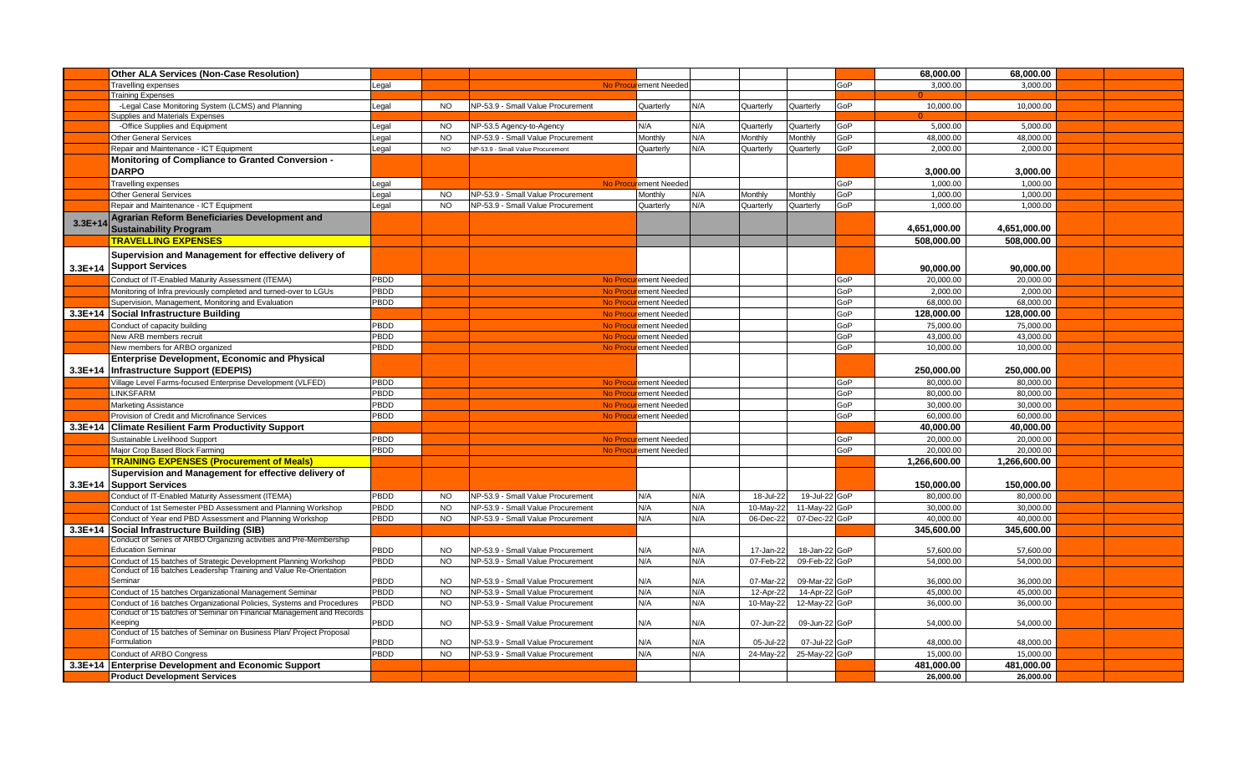|           | <b>Other ALA Services (Non-Case Resolution)</b>                                              |              |                        |                                                                        |                       |            |                        |                                |     | 68,000.00              | 68,000.00              |  |
|-----------|----------------------------------------------------------------------------------------------|--------------|------------------------|------------------------------------------------------------------------|-----------------------|------------|------------------------|--------------------------------|-----|------------------------|------------------------|--|
|           | Travelling expenses                                                                          | Legal        |                        |                                                                        | No Procurement Needed |            |                        |                                | GoP | 3.000.00               | 3.000.00               |  |
|           | <b>Training Expenses</b>                                                                     |              |                        |                                                                        |                       |            |                        |                                |     |                        |                        |  |
|           | -Legal Case Monitoring System (LCMS) and Planning                                            | Legal        | <b>NO</b>              | NP-53.9 - Small Value Procurement                                      | Quarterly             | N/A        | Quarterly              | Quarterly                      | GoP | 10,000.00              | 10,000.00              |  |
|           | Supplies and Materials Expenses                                                              |              |                        |                                                                        |                       |            |                        |                                |     |                        |                        |  |
|           | -Office Supplies and Equipment                                                               | Legal        | <b>NO</b>              | NP-53.5 Agency-to-Agency                                               | N/A                   | N/A        | Quarterly              | Quarterly                      | GoP | 5.000.00               | 5.000.00               |  |
|           | Other General Services                                                                       | Legal        | <b>NO</b>              | NP-53.9 - Small Value Procurement                                      | Monthly               | N/A        | Monthly                | Monthly                        | GoP | 48,000.00              | 48,000.00              |  |
|           | Repair and Maintenance - ICT Equipment                                                       | Legal        | <b>NO</b>              | NP-53.9 - Small Value Procurement                                      | Quarterly             | N/A        | Quarterly              | Quarterly                      | GoP | 2.000.00               | 2.000.00               |  |
|           | <b>Monitoring of Compliance to Granted Conversion -</b><br><b>DARPO</b>                      |              |                        |                                                                        |                       |            |                        |                                |     | 3,000.00               | 3,000.00               |  |
|           | <b>Travelling expenses</b>                                                                   | Legal        |                        | <b>No Proce</b>                                                        | urement Needed        |            |                        |                                | GoP | 1.000.00               | 1.000.00               |  |
|           | Other General Services                                                                       | Legal        | <b>NO</b>              | NP-53.9 - Small Value Procurement                                      | Monthly               | N/A        | Monthly                | Monthly                        | GoP | 1.000.00               | 1.000.00               |  |
|           | Repair and Maintenance - ICT Equipment                                                       | Legal        | <b>NO</b>              | NP-53.9 - Small Value Procurement                                      | Quarterly             | N/A        | Quarterly              | Quarterly                      | GoP | 1,000.00               | 1,000.00               |  |
| $3.3E+14$ | Agrarian Reform Beneficiaries Development and<br><b>Sustainability Program</b>               |              |                        |                                                                        |                       |            |                        |                                |     | 4,651,000.00           | 4,651,000.00           |  |
|           | <b>TRAVELLING EXPENSES</b>                                                                   |              |                        |                                                                        |                       |            |                        |                                |     | 508,000.00             | 508,000.00             |  |
|           | Supervision and Management for effective delivery of<br>3.3E+14 Support Services             |              |                        |                                                                        |                       |            |                        |                                |     | 90.000.00              | 90,000,00              |  |
|           | Conduct of IT-Enabled Maturity Assessment (ITEMA)                                            | PBDD         |                        |                                                                        | No Procurement Needed |            |                        |                                | GoP | 20,000.00              | 20,000.00              |  |
|           | Monitoring of Infra previously completed and turned-over to LGUs                             | PBDD         |                        |                                                                        | No Procurement Needed |            |                        |                                | GoP | 2,000.00               | 2,000.00               |  |
|           | Supervision, Management, Monitoring and Evaluation                                           | PBDD         |                        |                                                                        | No Procurement Needed |            |                        |                                | GoP | 68,000.00              | 68.000.00              |  |
|           | 3.3E+14 Social Infrastructure Building                                                       |              |                        |                                                                        | No Procurement Needed |            |                        |                                | GoP | 128,000.00             | 128,000.00             |  |
|           | Conduct of capacity building                                                                 | PBDD         |                        |                                                                        | No Procurement Needed |            |                        |                                | GoP | 75,000.00              | 75,000.00              |  |
|           | <b>New ARB members recruit</b>                                                               | PBDD         |                        |                                                                        | No Procurement Needed |            |                        |                                | GoP | 43,000.00              | 43,000.00              |  |
|           | <b>New members for ARBO organized</b>                                                        | PBDD         |                        |                                                                        | No Procurement Needed |            |                        |                                | GoP | 10,000.00              | 10,000.00              |  |
|           | <b>Enterprise Development, Economic and Physical</b>                                         |              |                        |                                                                        |                       |            |                        |                                |     |                        |                        |  |
|           | 3.3E+14   Infrastructure Support (EDEPIS)                                                    |              |                        |                                                                        |                       |            |                        |                                |     | 250,000,00             | 250,000.00             |  |
|           | Village Level Farms-focused Enterprise Development (VLFED)                                   | PBDD         |                        |                                                                        | No Procurement Needed |            |                        |                                | GoP | 80.000.00              | 80.000.00              |  |
|           | <b>INKSFARM</b>                                                                              | PBDD         |                        |                                                                        | No Procurement Needed |            |                        |                                | GoP | 80,000.00              | 80,000.00              |  |
|           | Marketing Assistance                                                                         | PBDD         |                        |                                                                        | No Procurement Needed |            |                        |                                | GoP | 30,000.00              | 30,000.00              |  |
|           | Provision of Credit and Microfinance Services                                                | PBDD         |                        |                                                                        | No Procurement Needed |            |                        |                                | GoP | 60.000.00              | 60.000.00              |  |
|           | 3.3E+14 Climate Resilient Farm Productivity Support                                          |              |                        |                                                                        |                       |            |                        |                                |     | 40.000.00              | 40.000.00              |  |
|           | Sustainable Livelihood Support                                                               | PBDD         |                        |                                                                        | No Procurement Needed |            |                        |                                | GoP | 20,000.00              | 20,000.00              |  |
|           | Major Crop Based Block Farming                                                               | PBDD         |                        |                                                                        | No Procurement Needed |            |                        |                                | GoP | 20,000.00              | 20,000.00              |  |
|           | <b>TRAINING EXPENSES (Procurement of Meals)</b>                                              |              |                        |                                                                        |                       |            |                        |                                |     | 1,266,600.00           | 1,266,600.00           |  |
|           | Supervision and Management for effective delivery of                                         |              |                        |                                                                        |                       |            |                        |                                |     |                        |                        |  |
|           | 3.3E+14 Support Services                                                                     |              |                        |                                                                        |                       |            |                        |                                |     | 150.000.00             | 150.000.00             |  |
|           | Conduct of IT-Enabled Maturity Assessment (ITEMA)                                            | PBDD         | <b>NO</b>              | NP-53.9 - Small Value Procurement                                      | N/A                   | N/A        | 18-Jul-22              | 19-Jul-22 GoP                  |     | 80.000.00              | 80.000.00              |  |
|           | Conduct of 1st Semester PBD Assessment and Planning Workshop                                 | PBDD         | <b>NO</b>              | NP-53.9 - Small Value Procurement                                      | N/A                   | N/A        | 10-May-22              | 11-May-22 GoP                  |     | 30,000.00              | 30,000.00              |  |
|           | Conduct of Year end PBD Assessment and Planning Workshop                                     | PBDD         | <b>NO</b>              | NP-53.9 - Small Value Procurement                                      | N/A                   | N/A        | 06-Dec-22              | 07-Dec-22 GoP                  |     | 40,000.00              | 40,000.00              |  |
|           | 3.3E+14 Social Infrastructure Building (SIB)                                                 |              |                        |                                                                        |                       |            |                        |                                |     | 345.600.00             | 345.600.00             |  |
|           | Conduct of Series of ARBO Organizing activities and Pre-Membership                           |              |                        |                                                                        |                       |            |                        |                                |     |                        |                        |  |
|           | <b>Education Seminar</b><br>Conduct of 15 batches of Strategic Development Planning Workshop | PBDD<br>PBDD | <b>NO</b><br><b>NO</b> | NP-53.9 - Small Value Procurement<br>NP-53.9 - Small Value Procurement | N/A<br>N/A            | N/A<br>N/A | 17-Jan-22<br>07-Feb-22 | 18-Jan-22 GoP<br>09-Feb-22 GoP |     | 57,600.00<br>54,000.00 | 57,600.00<br>54,000.00 |  |
|           | Conduct of 16 batches Leadership Training and Value Re-Orientation                           |              |                        |                                                                        |                       |            |                        |                                |     |                        |                        |  |
|           | Seminar                                                                                      | PBDD         | <b>NO</b>              | NP-53.9 - Small Value Procurement                                      | N/A                   | N/A        | 07-Mar-22              | 09-Mar-22 GoP                  |     | 36,000.00              | 36,000.00              |  |
|           | Conduct of 15 batches Organizational Management Seminar                                      | PBDD         | <b>NO</b>              | NP-53.9 - Small Value Procurement                                      | N/A                   | N/A        | 12-Apr-22              | 14-Apr-22 GoP                  |     | 45,000.00              | 45,000.00              |  |
|           | Conduct of 16 batches Organizational Policies, Systems and Procedures                        | PBDD         | <b>NO</b>              | NP-53.9 - Small Value Procurement                                      | N/A                   | N/A        | 10-May-22              | 12-May-22 GoP                  |     | 36,000.00              | 36,000.00              |  |
|           | Conduct of 15 batches of Seminar on Financial Management and Records<br><b>Keeping</b>       | PBDD         | <b>NO</b>              | NP-53.9 - Small Value Procurement                                      | N/A                   | N/A        | 07-Jun-22              | 09-Jun-22 GoP                  |     | 54,000.00              | 54,000.00              |  |
|           | Conduct of 15 batches of Seminar on Business Plan/ Project Proposal                          |              |                        |                                                                        |                       |            |                        |                                |     |                        |                        |  |
|           | Formulation                                                                                  | PBDD         | <b>NO</b>              | NP-53.9 - Small Value Procurement                                      | N/A                   | N/A        | 05-Jul-22              | 07-Jul-22 GoP                  |     | 48,000.00              | 48,000.00              |  |
|           | Conduct of ARBO Congress                                                                     | PBDD         | <b>NO</b>              | NP-53.9 - Small Value Procurement                                      | N/A                   | N/A        | 24-May-22              | 25-May-22 GoP                  |     | 15,000.00              | 15,000.00              |  |
|           | 3.3E+14 Enterprise Development and Economic Support                                          |              |                        |                                                                        |                       |            |                        |                                |     | 481,000.00             | 481,000.00             |  |
|           | <b>Product Development Services</b>                                                          |              |                        |                                                                        |                       |            |                        |                                |     | 26,000.00              | 26,000.00              |  |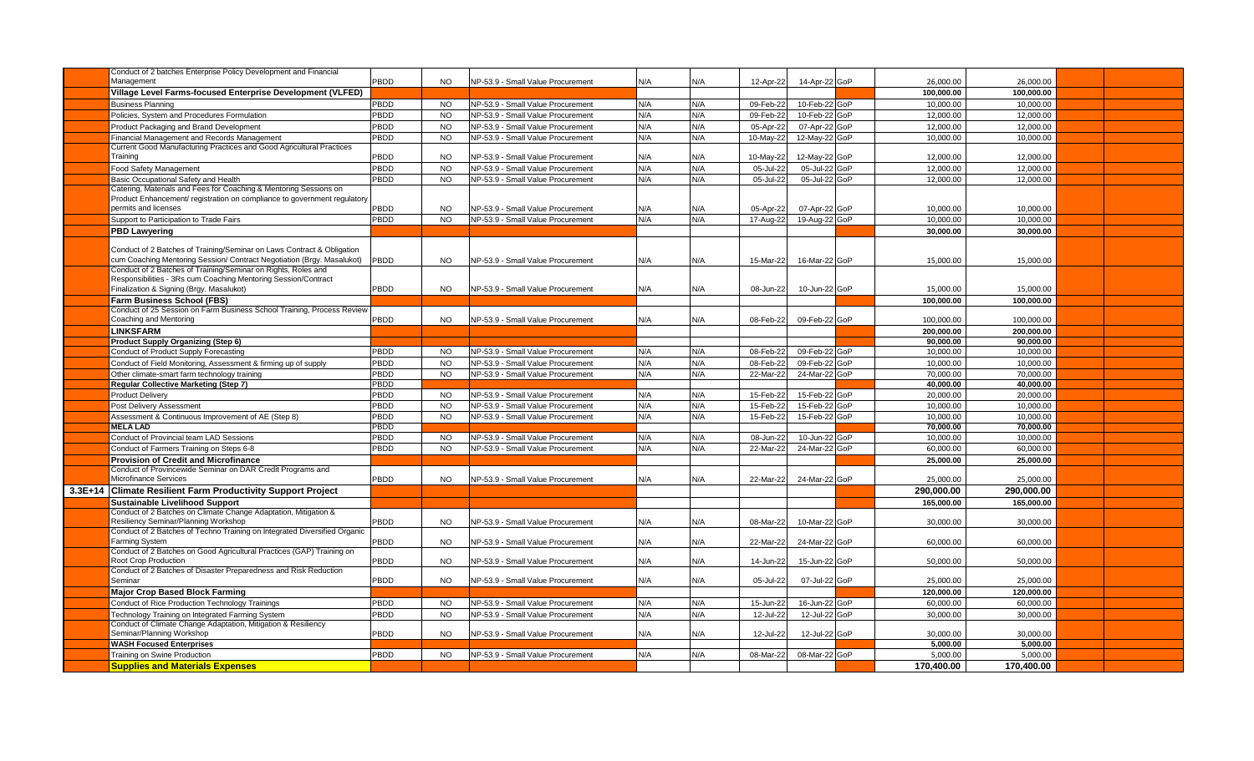| Conduct of 2 batches Enterprise Policy Development and Financial                                                  |             |           |                                   |     |     |           |               |            |            |  |
|-------------------------------------------------------------------------------------------------------------------|-------------|-----------|-----------------------------------|-----|-----|-----------|---------------|------------|------------|--|
| Management                                                                                                        | PBDD        | <b>NO</b> | NP-53.9 - Small Value Procurement | N/A | N/A | 12-Apr-22 | 14-Apr-22 GoP | 26,000.00  | 26,000.00  |  |
| Village Level Farms-focused Enterprise Development (VLFED)                                                        |             |           |                                   |     |     |           |               | 100.000.00 | 100.000.00 |  |
| <b>Business Planning</b>                                                                                          | PBDD        | <b>NO</b> | NP-53.9 - Small Value Procurement | N/A | N/A | 09-Feb-22 | 10-Feb-22 GoP | 10,000.00  | 10,000.00  |  |
| Policies, System and Procedures Formulation                                                                       | PBDD        | <b>NO</b> | NP-53.9 - Small Value Procurement | N/A | N/A | 09-Feb-22 | 10-Feb-22 GoP | 12,000.00  | 12,000.00  |  |
| Product Packaging and Brand Development                                                                           | PBDD        | <b>NO</b> | NP-53.9 - Small Value Procurement | N/A | N/A | 05-Apr-22 | 07-Apr-22 GoP | 12,000.00  | 12,000.00  |  |
| Financial Management and Records Management                                                                       | PBDD        | <b>NO</b> | NP-53.9 - Small Value Procurement | N/A | N/A | 10-May-22 | 12-May-22 GoP | 10,000.00  | 10,000.00  |  |
| Current Good Manufacturing Practices and Good Agricultural Practices                                              |             |           |                                   |     |     |           |               |            |            |  |
| Training                                                                                                          | <b>PBDD</b> | <b>NO</b> | NP-53.9 - Small Value Procurement | N/A | N/A | 10-May-22 | 12-May-22 GoP | 12,000.00  | 12,000.00  |  |
| Food Safety Management                                                                                            | PBDD        | <b>NO</b> | NP-53.9 - Small Value Procurement | N/A | N/A | 05-Jul-22 | 05-Jul-22 GoP | 12,000.00  | 12,000.00  |  |
| Basic Occupational Safety and Health                                                                              | PBDD        | <b>NO</b> | NP-53.9 - Small Value Procurement | N/A | N/A | 05-Jul-22 | 05-Jul-22 GoP | 12,000.00  | 12,000.00  |  |
| Catering, Materials and Fees for Coaching & Mentoring Sessions on                                                 |             |           |                                   |     |     |           |               |            |            |  |
| Product Enhancement/ registration on compliance to government regulatory<br>permits and licenses                  | PBDD        |           |                                   |     |     |           |               |            |            |  |
|                                                                                                                   |             | <b>NO</b> | NP-53.9 - Small Value Procurement | N/A | N/A | 05-Apr-22 | 07-Apr-22 GoP | 10,000.00  | 10.000.00  |  |
| Support to Participation to Trade Fairs                                                                           | PBDD        | <b>NO</b> | NP-53.9 - Small Value Procurement | N/A | N/A | 17-Aug-22 | 19-Aug-22 GoP | 10.000.00  | 10.000.00  |  |
| <b>PBD Lawyering</b>                                                                                              |             |           |                                   |     |     |           |               | 30.000.00  | 30.000.00  |  |
| Conduct of 2 Batches of Training/Seminar on Laws Contract & Obligation                                            |             |           |                                   |     |     |           |               |            |            |  |
| cum Coaching Mentoring Session/ Contract Negotiation (Brgy. Masalukot)                                            | PBDD        | NO.       | NP-53.9 - Small Value Procurement | N/A | N/A | 15-Mar-22 | 16-Mar-22 GoP | 15,000.00  | 15,000.00  |  |
| Conduct of 2 Batches of Training/Seminar on Rights, Roles and                                                     |             |           |                                   |     |     |           |               |            |            |  |
| Responsibilities - 3Rs cum Coaching Mentoring Session/Contract                                                    |             |           |                                   |     |     |           |               |            |            |  |
| Finalization & Signing (Brgy. Masalukot)                                                                          | PBDD        | <b>NO</b> | NP-53.9 - Small Value Procurement | N/A | N/A | 08-Jun-22 | 10-Jun-22 GoP | 15,000.00  | 15,000.00  |  |
| <b>Farm Business School (FBS)</b>                                                                                 |             |           |                                   |     |     |           |               | 100,000.00 | 100,000.00 |  |
| Conduct of 25 Session on Farm Business School Training, Process Review                                            |             |           |                                   |     |     |           |               |            |            |  |
| Coaching and Mentoring                                                                                            | PBDD        | <b>NO</b> | NP-53.9 - Small Value Procurement | N/A | N/A | 08-Feb-22 | 09-Feb-22 GoP | 100.000.00 | 100.000.00 |  |
| <b>LINKSFARM</b>                                                                                                  |             |           |                                   |     |     |           |               | 200.000.00 | 200.000.00 |  |
| <b>Product Supply Organizing (Step 6)</b>                                                                         |             |           |                                   |     |     |           |               | 90,000.00  | 90,000.00  |  |
| <b>Conduct of Product Supply Forecasting</b>                                                                      | PBDD        | <b>NO</b> | NP-53.9 - Small Value Procurement | N/A | N/A | 08-Feb-22 | 09-Feb-22 GoP | 10,000.00  | 10,000.00  |  |
| Conduct of Field Monitoring, Assessment & firming up of supply                                                    | PBDD        | <b>NO</b> | NP-53.9 - Small Value Procurement | N/A | N/A | 08-Feb-22 | 09-Feb-22 GoP | 10,000.00  | 10,000.00  |  |
| Other climate-smart farm technology training                                                                      | PBDD        | <b>NO</b> | NP-53.9 - Small Value Procurement | N/A | N/A | 22-Mar-22 | 24-Mar-22 GoP | 70,000.00  | 70,000.00  |  |
| <b>Regular Collective Marketing (Step 7)</b>                                                                      | PBDD        |           |                                   |     |     |           |               | 40.000.00  | 40.000.00  |  |
| <b>Product Delivery</b>                                                                                           | PBDD        | <b>NO</b> | NP-53.9 - Small Value Procurement | N/A | N/A | 15-Feb-2  | 15-Feb-22 GoP | 20,000.00  | 20,000.00  |  |
| Post Delivery Assessment                                                                                          | PBDD        | <b>NO</b> | NP-53.9 - Small Value Procurement | N/A | N/A | 15-Feb-22 | 15-Feb-22 GoP | 10,000.00  | 10,000.00  |  |
| Assessment & Continuous Improvement of AE (Step 8)                                                                | PBDD        | <b>NO</b> | NP-53.9 - Small Value Procurement | N/A | N/A | 15-Feb-22 | 15-Feb-22 GoP | 10.000.00  | 10.000.00  |  |
| <b>MELALAD</b>                                                                                                    | PBDD        |           |                                   |     |     |           |               | 70,000.00  | 70.000.00  |  |
| Conduct of Provincial team LAD Sessions                                                                           | PBDD        | <b>NO</b> | NP-53.9 - Small Value Procurement | N/A | N/A | 08-Jun-22 | 10-Jun-22 GoP | 10.000.00  | 10.000.00  |  |
| Conduct of Farmers Training on Steps 6-8                                                                          | PBDD        | <b>NO</b> | NP-53.9 - Small Value Procurement | N/A | N/A | 22-Mar-22 | 24-Mar-22 GoP | 60.000.00  | 60,000.00  |  |
| <b>Provision of Credit and Microfinance</b>                                                                       |             |           |                                   |     |     |           |               | 25.000.00  | 25.000.00  |  |
| Conduct of Provincewide Seminar on DAR Credit Programs and                                                        |             |           |                                   |     |     |           |               |            |            |  |
| Microfinance Services                                                                                             | PBDD        | <b>NO</b> | NP-53.9 - Small Value Procurement | N/A | N/A | 22-Mar-22 | 24-Mar-22 GoP | 25,000.00  | 25,000.00  |  |
| 3.3E+14 Climate Resilient Farm Productivity Support Project                                                       |             |           |                                   |     |     |           |               | 290.000.00 | 290.000.00 |  |
| <b>Sustainable Livelihood Support</b>                                                                             |             |           |                                   |     |     |           |               | 165.000.00 | 165.000.00 |  |
| Conduct of 2 Batches on Climate Change Adaptation, Mitigation &                                                   |             |           |                                   |     |     |           |               |            |            |  |
| Resiliency Seminar/Planning Workshop<br>Conduct of 2 Batches of Techno Training on Integrated Diversified Organic | PBDD        | <b>NO</b> | NP-53.9 - Small Value Procurement | N/A | N/A | 08-Mar-22 | 10-Mar-22 GoP | 30,000.00  | 30,000.00  |  |
| <b>Farming System</b>                                                                                             | PBDD        | <b>NO</b> | NP-53.9 - Small Value Procurement | N/A | N/A | 22-Mar-22 | 24-Mar-22 GoP | 60,000.00  | 60,000.00  |  |
| Conduct of 2 Batches on Good Agricultural Practices (GAP) Training on                                             |             |           |                                   |     |     |           |               |            |            |  |
| Root Crop Production                                                                                              | PBDD        | <b>NO</b> | NP-53.9 - Small Value Procurement | N/A | N/A | 14-Jun-22 | 15-Jun-22 GoP | 50.000.00  | 50.000.00  |  |
| Conduct of 2 Batches of Disaster Preparedness and Risk Reduction                                                  |             |           |                                   |     |     |           |               |            |            |  |
| Seminar                                                                                                           | PBDD        | <b>NO</b> | NP-53.9 - Small Value Procurement | N/A | N/A | 05-Jul-22 | 07-Jul-22 GoP | 25,000.00  | 25,000.00  |  |
| <b>Major Crop Based Block Farming</b>                                                                             |             |           |                                   |     |     |           |               | 120.000.00 | 120.000.00 |  |
| Conduct of Rice Production Technology Trainings                                                                   | PBDD        | <b>NO</b> | NP-53.9 - Small Value Procurement | N/A | N/A | 15-Jun-22 | 16-Jun-22 GoP | 60.000.00  | 60.000.00  |  |
| Technology Training on Integrated Farming System                                                                  | PBDD        | <b>NO</b> | NP-53.9 - Small Value Procurement | N/A | N/A | 12-Jul-22 | 12-Jul-22 GoP | 30,000.00  | 30,000.00  |  |
| Conduct of Climate Change Adaptation, Mitigation & Resiliency                                                     |             |           |                                   |     |     |           |               |            |            |  |
| Seminar/Planning Workshop                                                                                         | PBDD        | <b>NO</b> | NP-53.9 - Small Value Procurement | N/A | N/A | 12-Jul-2  | 12-Jul-22 GoP | 30,000.00  | 30,000.00  |  |
| <b>WASH Focused Enterprises</b>                                                                                   |             |           |                                   |     |     |           |               | 5.000.00   | 5.000.00   |  |
| Training on Swine Production                                                                                      | PBDD        | <b>NO</b> | NP-53.9 - Small Value Procurement | N/A | N/A | 08-Mar-22 | 08-Mar-22 GoP | 5,000.00   | 5,000.00   |  |
| <b>Supplies and Materials Expenses</b>                                                                            |             |           |                                   |     |     |           |               | 170.400.00 | 170.400.00 |  |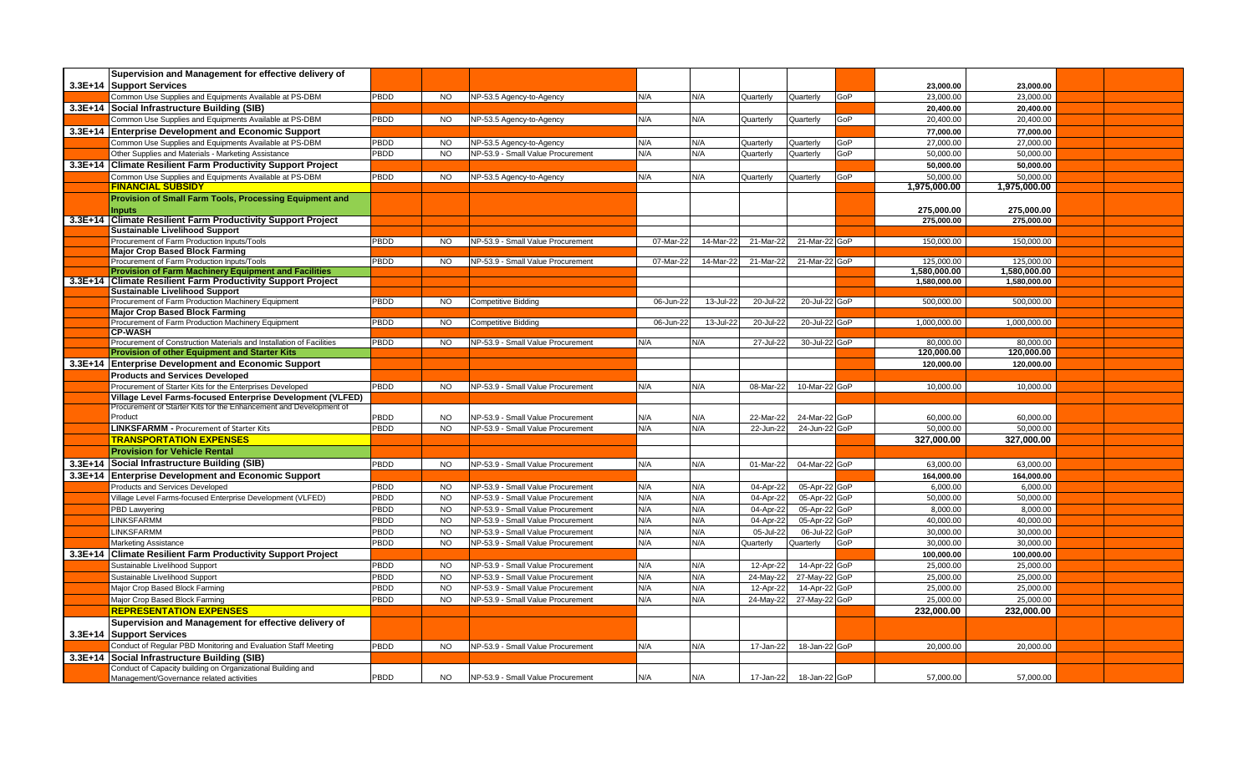| Supervision and Management for effective delivery of                                                                    |             |                |                                   |           |           |           |               |     |              |              |  |
|-------------------------------------------------------------------------------------------------------------------------|-------------|----------------|-----------------------------------|-----------|-----------|-----------|---------------|-----|--------------|--------------|--|
| 3.3E+14 Support Services                                                                                                |             |                |                                   |           |           |           |               |     | 23.000.00    | 23.000.00    |  |
| Common Use Supplies and Equipments Available at PS-DBM                                                                  | PBDD        | <b>NO</b>      | NP-53.5 Agency-to-Agency          | N/A       | N/A       | Quarterly | Quarterly     | GoP | 23,000.00    | 23,000.00    |  |
| 3.3E+14 Social Infrastructure Building (SIB)                                                                            |             |                |                                   |           |           |           |               |     | 20,400.00    | 20,400.00    |  |
| Common Use Supplies and Equipments Available at PS-DBM                                                                  | <b>PBDD</b> | <b>NO</b>      | NP-53.5 Agency-to-Agency          | N/A       | N/A       | Quarterly | Quarterly     | GoP | 20.400.00    | 20,400.00    |  |
| 3.3E+14 Enterprise Development and Economic Support                                                                     |             |                |                                   |           |           |           |               |     | 77.000.00    | 77,000.00    |  |
| Common Use Supplies and Equipments Available at PS-DBM                                                                  | PBDD        | <b>NO</b>      | NP-53.5 Agency-to-Agency          | N/A       | N/A       | Quarterly | Quarterly     | GoP | 27,000.00    | 27,000.00    |  |
| Other Supplies and Materials - Marketing Assistance                                                                     | PBDD        | <b>NO</b>      | NP-53.9 - Small Value Procurement | N/A       | N/A       | Quarterly | Quarterly     | GoP | 50.000.00    | 50.000.00    |  |
| 3.3E+14 Climate Resilient Farm Productivity Support Project                                                             |             |                |                                   |           |           |           |               |     | 50,000.00    | 50,000.00    |  |
| Common Use Supplies and Equipments Available at PS-DBM                                                                  | PBDD        | <b>NO</b>      | NP-53.5 Agency-to-Agency          | N/A       | N/A       | Quarterly | Quarterly     | GoP | 50.000.00    | 50.000.00    |  |
| <b>FINANCIAL SUBSIDY</b>                                                                                                |             |                |                                   |           |           |           |               |     | 1,975,000.00 | 1,975,000.00 |  |
| Provision of Small Farm Tools, Processing Equipment and                                                                 |             |                |                                   |           |           |           |               |     |              |              |  |
| <b>Inputs</b>                                                                                                           |             |                |                                   |           |           |           |               |     | 275,000.00   | 275,000.00   |  |
| 3.3E+14 Climate Resilient Farm Productivity Support Project                                                             |             |                |                                   |           |           |           |               |     | 275,000.00   | 275,000.00   |  |
| <b>Sustainable Livelihood Support</b>                                                                                   |             |                |                                   |           |           |           |               |     |              |              |  |
| Procurement of Farm Production Inputs/Tools                                                                             | PBDD        | <b>NO</b>      | NP-53.9 - Small Value Procurement | 07-Mar-22 | 14-Mar-22 | 21-Mar-22 | 21-Mar-22 GoP |     | 150,000.00   | 150,000.00   |  |
| <b>Major Crop Based Block Farming</b><br>Procurement of Farm Production Inputs/Tools                                    | PBDD        | <b>NO</b>      | NP-53.9 - Small Value Procurement | 07-Mar-22 | 14-Mar-22 | 21-Mar-22 | 21-Mar-22 GoP |     | 125,000.00   | 125,000.00   |  |
| <b>Provision of Farm Machinery Equipment and Facilities</b>                                                             |             |                |                                   |           |           |           |               |     | 1,580,000.00 | 1,580,000.00 |  |
| 3.3E+14   Climate Resilient Farm Productivity Support Project                                                           |             |                |                                   |           |           |           |               |     | 1,580,000.00 | 1,580,000.00 |  |
| <b>Sustainable Livelihood Support</b>                                                                                   |             |                |                                   |           |           |           |               |     |              |              |  |
| Procurement of Farm Production Machinery Equipment                                                                      | PBDD        | <b>NO</b>      | <b>Competitive Bidding</b>        | 06-Jun-22 | 13-Jul-22 | 20-Jul-22 | 20-Jul-22 GoP |     | 500,000.00   | 500,000.00   |  |
| <b>Major Crop Based Block Farming</b>                                                                                   |             |                |                                   |           |           |           |               |     |              |              |  |
| Procurement of Farm Production Machinery Equipment                                                                      | PBDD        | <b>NO</b>      | Competitive Bidding               | 06-Jun-22 | 13-Jul-22 | 20-Jul-22 | 20-Jul-22 GoP |     | 1.000.000.00 | 1.000.000.00 |  |
| <b>CP-WASH</b>                                                                                                          |             |                |                                   |           |           |           |               |     |              |              |  |
| Procurement of Construction Materials and Installation of Facilities                                                    | PBDD        | <b>NO</b>      | NP-53.9 - Small Value Procurement | N/A       | N/A       | 27-Jul-22 | 30-Jul-22 GoP |     | 80.000.00    | 80.000.00    |  |
| <b>Provision of other Equipment and Starter Kits</b>                                                                    |             |                |                                   |           |           |           |               |     | 120,000.00   | 120,000.00   |  |
| 3.3E+14 Enterprise Development and Economic Support                                                                     |             |                |                                   |           |           |           |               |     | 120,000.00   | 120,000.00   |  |
| <b>Products and Services Developed</b>                                                                                  | PBDD        |                |                                   |           |           |           | 10-Mar-22 GoP |     |              |              |  |
| Procurement of Starter Kits for the Enterprises Developed<br>Village Level Farms-focused Enterprise Development (VLFED) |             | <b>NO</b>      | NP-53.9 - Small Value Procurement | N/A       | N/A       | 08-Mar-22 |               |     | 10,000.00    | 10,000.00    |  |
| Procurement of Starter Kits for the Enhancement and Development of                                                      |             |                |                                   |           |           |           |               |     |              |              |  |
| Product                                                                                                                 | PBDD        | <b>NO</b>      | NP-53.9 - Small Value Procurement | N/A       | N/A       | 22-Mar-22 | 24-Mar-22 GoP |     | 60,000.00    | 60,000.00    |  |
| <b>LINKSFARMM - Procurement of Starter Kits</b>                                                                         | PBDD        | <b>NO</b>      | NP-53.9 - Small Value Procurement | N/A       | N/A       | 22-Jun-22 | 24-Jun-22 GoP |     | 50.000.00    | 50.000.00    |  |
| <b>TRANSPORTATION EXPENSES</b>                                                                                          |             |                |                                   |           |           |           |               |     | 327,000.00   | 327,000.00   |  |
| <b>Provision for Vehicle Rental</b>                                                                                     |             |                |                                   |           |           |           |               |     |              |              |  |
| 3.3E+14 Social Infrastructure Building (SIB)                                                                            | PBDD        | <b>NO</b>      | NP-53.9 - Small Value Procurement | N/A       | N/A       | 01-Mar-22 | 04-Mar-22 GoP |     | 63,000.00    | 63,000.00    |  |
| 3.3E+14 Enterprise Development and Economic Support                                                                     |             |                |                                   |           |           |           |               |     | 164,000.00   | 164,000.00   |  |
| <b>Products and Services Developed</b>                                                                                  | <b>PBDD</b> | <b>NO</b>      | NP-53.9 - Small Value Procurement | N/A       | N/A       | 04-Apr-22 | 05-Apr-22 GoP |     | 6.000.00     | 6.000.00     |  |
| Village Level Farms-focused Enterprise Development (VLFED)                                                              | PBDD        | <b>NO</b>      | NP-53.9 - Small Value Procurement | N/A       | N/A       | 04-Apr-22 | 05-Apr-22 GoP |     | 50,000.00    | 50,000.00    |  |
| PBD Lawyering                                                                                                           | PBDD        | <b>NO</b>      | NP-53.9 - Small Value Procurement | N/A       | N/A       | 04-Apr-22 | 05-Apr-22 GoP |     | 8,000.00     | 8,000.00     |  |
| <b>LINKSFARMM</b>                                                                                                       | <b>PBDD</b> | <b>NO</b>      | NP-53.9 - Small Value Procurement | N/A       | N/A       | 04-Apr-22 | 05-Apr-22 GoP |     | 40,000.00    | 40,000.00    |  |
| <b>LINKSFARMM</b>                                                                                                       | PBDD        | N <sub>O</sub> | NP-53.9 - Small Value Procurement | N/A       | N/A       | 05-Jul-22 | 06-Jul-22     | GoP | 30,000.00    | 30,000.00    |  |
| <b>Marketing Assistance</b>                                                                                             | <b>PBDD</b> | <b>NO</b>      | NP-53.9 - Small Value Procurement | N/A       | N/A       | Quarterly | Quarterly     | GoP | 30,000.00    | 30,000.00    |  |
| 3.3E+14 Climate Resilient Farm Productivity Support Project                                                             |             |                |                                   |           |           |           |               |     | 100.000.00   | 100.000.00   |  |
| Sustainable Livelihood Support                                                                                          | PBDD        | <b>NO</b>      | NP-53.9 - Small Value Procurement | N/A       | N/A       | 12-Apr-22 | 14-Apr-22 GoP |     | 25,000.00    | 25,000.00    |  |
| Sustainable Livelihood Support                                                                                          | PBDD        | <b>NO</b>      | NP-53.9 - Small Value Procurement | N/A       | N/A       | 24-May-22 | 27-May-22 GoP |     | 25,000.00    | 25,000.00    |  |
| Major Crop Based Block Farming                                                                                          | PBDD        | <b>NO</b>      | NP-53.9 - Small Value Procurement | N/A       | N/A       | 12-Apr-22 | 14-Apr-22 GoP |     | 25.000.00    | 25,000.00    |  |
| Major Crop Based Block Farming                                                                                          | PBDD        | <b>NO</b>      | NP-53.9 - Small Value Procurement | N/A       | N/A       | 24-May-22 | 27-May-22 GoP |     | 25,000.00    | 25,000.00    |  |
| <b>REPRESENTATION EXPENSES</b>                                                                                          |             |                |                                   |           |           |           |               |     | 232,000.00   | 232,000.00   |  |
| Supervision and Management for effective delivery of                                                                    |             |                |                                   |           |           |           |               |     |              |              |  |
| 3.3E+14 Support Services                                                                                                |             |                |                                   |           |           |           |               |     |              |              |  |
| Conduct of Regular PBD Monitoring and Evaluation Staff Meeting                                                          | PBDD        | <b>NO</b>      | NP-53.9 - Small Value Procurement | N/A       | N/A       | 17-Jan-22 | 18-Jan-22 GoP |     | 20.000.00    | 20.000.00    |  |
| 3.3E+14 Social Infrastructure Building (SIB)                                                                            |             |                |                                   |           |           |           |               |     |              |              |  |
| Conduct of Capacity building on Organizational Building and                                                             |             |                |                                   |           |           |           |               |     |              |              |  |
| Management/Governance related activities                                                                                | PBDD        | <b>NO</b>      | NP-53.9 - Small Value Procurement | N/A       | N/A       | 17-Jan-22 | 18-Jan-22 GoP |     | 57,000.00    | 57,000.00    |  |